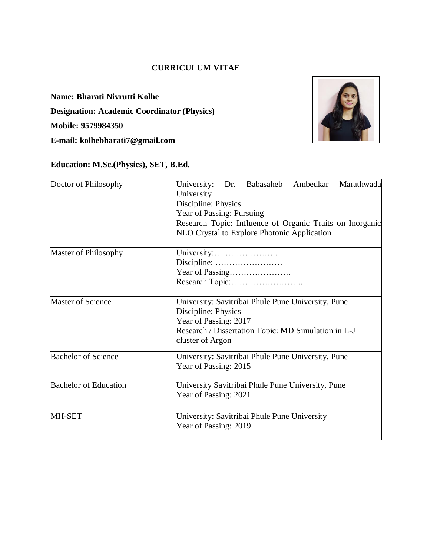### **CURRICULUM VITAE**

**Name: Bharati Nivrutti Kolhe Designation: Academic Coordinator (Physics) Mobile: 9579984350 E-mail: kolhebharati7@gmail.com**



### **Education: M.Sc.(Physics), SET, B.Ed.**

| Doctor of Philosophy         | Babasaheb<br>Ambedkar<br>University:<br>Dr.<br>Marathwada<br>University<br>Discipline: Physics<br>Year of Passing: Pursuing<br>Research Topic: Influence of Organic Traits on Inorganic |  |  |  |  |  |  |
|------------------------------|-----------------------------------------------------------------------------------------------------------------------------------------------------------------------------------------|--|--|--|--|--|--|
| Master of Philosophy         | NLO Crystal to Explore Photonic Application<br>University:<br>Year of Passing                                                                                                           |  |  |  |  |  |  |
| <b>Master of Science</b>     | University: Savitribai Phule Pune University, Pune<br>Discipline: Physics<br>Year of Passing: 2017<br>Research / Dissertation Topic: MD Simulation in L-J<br>cluster of Argon           |  |  |  |  |  |  |
| <b>Bachelor of Science</b>   | University: Savitribai Phule Pune University, Pune<br>Year of Passing: 2015                                                                                                             |  |  |  |  |  |  |
| <b>Bachelor of Education</b> | University Savitribai Phule Pune University, Pune<br>Year of Passing: 2021                                                                                                              |  |  |  |  |  |  |
| MH-SET                       | University: Savitribai Phule Pune University<br>Year of Passing: 2019                                                                                                                   |  |  |  |  |  |  |